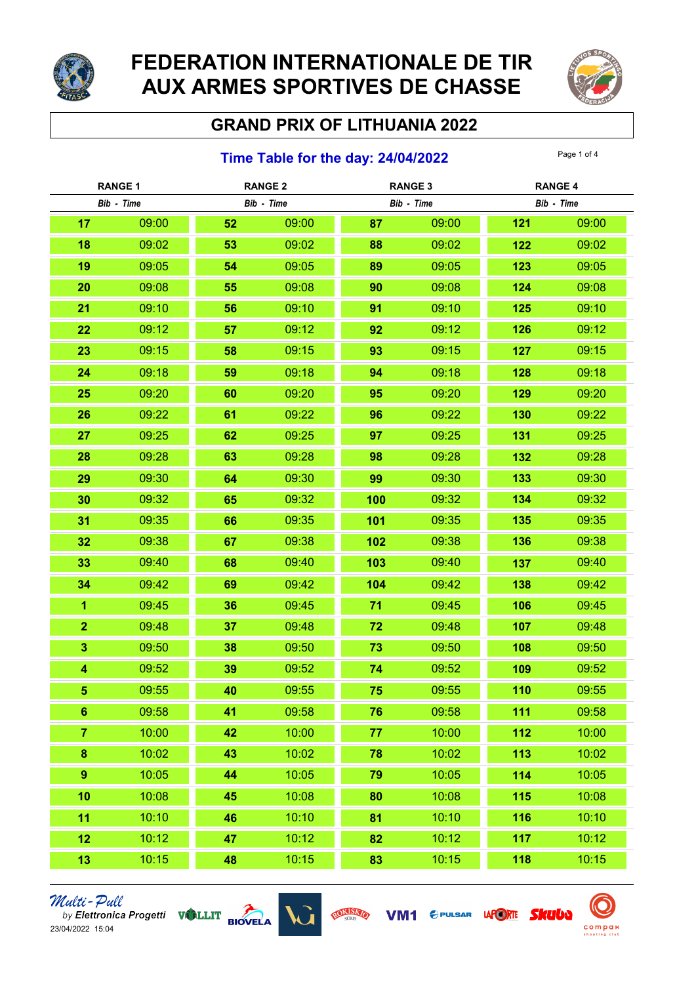

# FEDERATION INTERNATIONALE DE TIR AUX ARMES SPORTIVES DE CHASSE



## GRAND PRIX OF LITHUANIA 2022

### **Time Table for the day: 24/04/2022** Page 1 of 4

| <b>RANGE 1</b>          |       | <b>RANGE 2</b> |            | <b>RANGE 3</b> |            | <b>RANGE 4</b> |            |  |
|-------------------------|-------|----------------|------------|----------------|------------|----------------|------------|--|
| Bib - Time              |       |                | Bib - Time |                | Bib - Time |                | Bib - Time |  |
| 17                      | 09:00 | 52             | 09:00      | 87             | 09:00      | 121            | 09:00      |  |
| 18                      | 09:02 | 53             | 09:02      | 88             | 09:02      | 122            | 09:02      |  |
| 19                      | 09:05 | 54             | 09:05      | 89             | 09:05      | 123            | 09:05      |  |
| 20                      | 09:08 | 55             | 09:08      | 90             | 09:08      | 124            | 09:08      |  |
| 21                      | 09:10 | 56             | 09:10      | 91             | 09:10      | 125            | 09:10      |  |
| 22                      | 09:12 | 57             | 09:12      | 92             | 09:12      | 126            | 09:12      |  |
| 23                      | 09:15 | 58             | 09:15      | 93             | 09:15      | 127            | 09:15      |  |
| 24                      | 09:18 | 59             | 09:18      | 94             | 09:18      | 128            | 09:18      |  |
| 25                      | 09:20 | 60             | 09:20      | 95             | 09:20      | 129            | 09:20      |  |
| 26                      | 09:22 | 61             | 09:22      | 96             | 09:22      | 130            | 09:22      |  |
| 27                      | 09:25 | 62             | 09:25      | 97             | 09:25      | 131            | 09:25      |  |
| 28                      | 09:28 | 63             | 09:28      | 98             | 09:28      | 132            | 09:28      |  |
| 29                      | 09:30 | 64             | 09:30      | 99             | 09:30      | 133            | 09:30      |  |
| 30                      | 09:32 | 65             | 09:32      | 100            | 09:32      | 134            | 09:32      |  |
| 31                      | 09:35 | 66             | 09:35      | 101            | 09:35      | 135            | 09:35      |  |
| 32                      | 09:38 | 67             | 09:38      | 102            | 09:38      | 136            | 09:38      |  |
| 33                      | 09:40 | 68             | 09:40      | 103            | 09:40      | 137            | 09:40      |  |
| 34                      | 09:42 | 69             | 09:42      | 104            | 09:42      | 138            | 09:42      |  |
| $\overline{1}$          | 09:45 | 36             | 09:45      | 71             | 09:45      | 106            | 09:45      |  |
| $\overline{2}$          | 09:48 | 37             | 09:48      | 72             | 09:48      | 107            | 09:48      |  |
| $\overline{\mathbf{3}}$ | 09:50 | 38             | 09:50      | 73             | 09:50      | 108            | 09:50      |  |
| 4                       | 09:52 | 39             | 09:52      | 74             | 09:52      | 109            | 09:52      |  |
| 5                       | 09:55 | 40             | 09:55      | 75             | 09:55      | 110            | 09:55      |  |
| $6\phantom{1}$          | 09:58 | 41             | 09:58      | 76             | 09:58      | 111            | 09:58      |  |
| $\overline{7}$          | 10:00 | 42             | 10:00      | 77             | 10:00      | 112            | 10:00      |  |
| $\bf{8}$                | 10:02 | 43             | 10:02      | 78             | 10:02      | 113            | 10:02      |  |
| $\boldsymbol{9}$        | 10:05 | 44             | 10:05      | 79             | 10:05      | 114            | 10:05      |  |
| 10                      | 10:08 | 45             | 10:08      | 80             | 10:08      | 115            | 10:08      |  |
| 11                      | 10:10 | 46             | 10:10      | 81             | 10:10      | 116            | 10:10      |  |
| 12                      | 10:12 | 47             | 10:12      | 82             | 10:12      | 117            | 10:12      |  |
| 13                      | 10:15 | 48             | 10:15      | 83             | 10:15      | 118            | 10:15      |  |







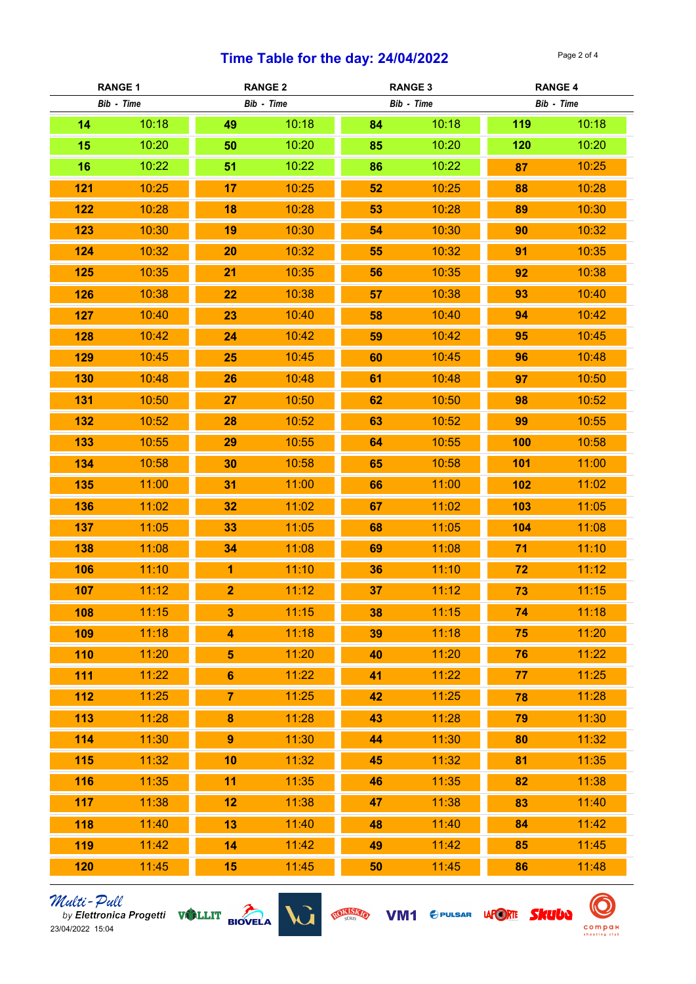### Time Table for the day:  $24/04/2022$

| <b>RANGE 1</b> |       | <b>RANGE 2</b>          |            | <b>RANGE 3</b> |            | <b>RANGE 4</b> |            |  |
|----------------|-------|-------------------------|------------|----------------|------------|----------------|------------|--|
| Bib - Time     |       |                         | Bib - Time |                | Bib - Time |                | Bib - Time |  |
| 14             | 10:18 | 49                      | 10:18      | 84             | 10:18      | 119            | 10:18      |  |
| 15             | 10:20 | 50                      | 10:20      | 85             | 10:20      | 120            | 10:20      |  |
| 16             | 10:22 | 51                      | 10:22      | 86             | 10:22      | 87             | 10:25      |  |
| 121            | 10:25 | 17                      | 10:25      | 52             | 10:25      | 88             | 10:28      |  |
| 122            | 10:28 | 18                      | 10:28      | 53             | 10:28      | 89             | 10:30      |  |
| 123            | 10:30 | 19                      | 10:30      | 54             | 10:30      | 90             | 10:32      |  |
| 124            | 10:32 | 20                      | 10:32      | 55             | 10:32      | 91             | 10:35      |  |
| 125            | 10:35 | 21                      | 10:35      | 56             | 10:35      | 92             | 10:38      |  |
| 126            | 10:38 | 22                      | 10:38      | 57             | 10:38      | 93             | 10:40      |  |
| 127            | 10:40 | 23                      | 10:40      | 58             | 10:40      | 94             | 10:42      |  |
| 128            | 10:42 | 24                      | 10:42      | 59             | 10:42      | 95             | 10:45      |  |
| 129            | 10:45 | 25                      | 10:45      | 60             | 10:45      | 96             | 10:48      |  |
| 130            | 10:48 | 26                      | 10:48      | 61             | 10:48      | 97             | 10:50      |  |
| 131            | 10:50 | 27                      | 10:50      | 62             | 10:50      | 98             | 10:52      |  |
| 132            | 10:52 | 28                      | 10:52      | 63             | 10:52      | 99             | 10:55      |  |
| 133            | 10:55 | 29                      | 10:55      | 64             | 10:55      | 100            | 10:58      |  |
| 134            | 10:58 | 30                      | 10:58      | 65             | 10:58      | 101            | 11:00      |  |
| 135            | 11:00 | 31                      | 11:00      | 66             | 11:00      | 102            | 11:02      |  |
| 136            | 11:02 | 32                      | 11:02      | 67             | 11:02      | 103            | 11:05      |  |
| 137            | 11:05 | 33                      | 11:05      | 68             | 11:05      | 104            | 11:08      |  |
| 138            | 11:08 | 34                      | 11:08      | 69             | 11:08      | 71             | 11:10      |  |
| 106            | 11:10 | $\overline{1}$          | 11:10      | 36             | 11:10      | 72             | 11:12      |  |
| 107            | 11:12 | $\overline{2}$          | 11:12      | 37             | 11:12      | 73             | 11:15      |  |
| 108            | 11:15 | $\overline{\mathbf{3}}$ | 11:15      | 38             | 11:15      | 74             | 11:18      |  |
| 109            | 11:18 | $\overline{\mathbf{4}}$ | 11:18      | 39             | 11:18      | 75             | 11:20      |  |
| 110            | 11:20 | $\overline{\mathbf{5}}$ | 11:20      | 40             | 11:20      | 76             | 11:22      |  |
| 111            | 11:22 | $6\phantom{a}$          | 11:22      | 41             | 11:22      | 77             | 11:25      |  |
| 112            | 11:25 | $\overline{7}$          | 11:25      | 42             | 11:25      | 78             | 11:28      |  |
| 113            | 11:28 | $\bf{8}$                | 11:28      | 43             | 11:28      | 79             | 11:30      |  |
| 114            | 11:30 | $\boldsymbol{9}$        | 11:30      | 44             | 11:30      | 80             | 11:32      |  |
| 115            | 11:32 | 10                      | 11:32      | 45             | 11:32      | 81             | 11:35      |  |
| 116            | 11:35 | 11                      | 11:35      | 46             | 11:35      | 82             | 11:38      |  |
| 117            | 11:38 | 12                      | 11:38      | 47             | 11:38      | 83             | 11:40      |  |
| 118            | 11:40 | 13                      | 11:40      | 48             | 11:40      | 84             | 11:42      |  |
| 119            | 11:42 | 14                      | 11:42      | 49             | 11:42      | 85             | 11:45      |  |
| 120            | 11:45 | 15                      | 11:45      | 50             | 11:45      | 86             | 11:48      |  |



VM1 CPULSAR LAPORTE SKUUD ROKISKO

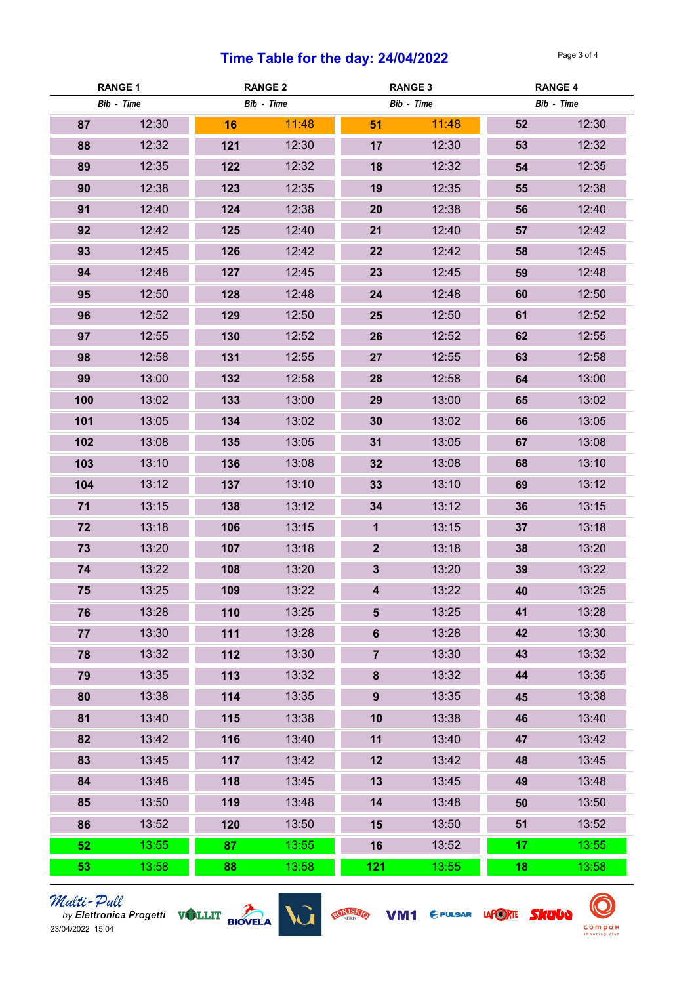### Time Table for the day:  $24/04/2022$

| <b>RANGE 1</b> |       | <b>RANGE 2</b> |       | <b>RANGE 3</b>          |       | <b>RANGE 4</b> |       |
|----------------|-------|----------------|-------|-------------------------|-------|----------------|-------|
| Bib - Time     |       | Bib - Time     |       | Bib - Time              |       | Bib - Time     |       |
| 87             | 12:30 | 16             | 11:48 | 51                      | 11:48 | 52             | 12:30 |
| 88             | 12:32 | 121            | 12:30 | 17                      | 12:30 | 53             | 12:32 |
| 89             | 12:35 | 122            | 12:32 | 18                      | 12:32 | 54             | 12:35 |
| 90             | 12:38 | 123            | 12:35 | 19                      | 12:35 | 55             | 12:38 |
| 91             | 12:40 | 124            | 12:38 | 20                      | 12:38 | 56             | 12:40 |
| 92             | 12:42 | 125            | 12:40 | 21                      | 12:40 | 57             | 12:42 |
| 93             | 12:45 | 126            | 12:42 | 22                      | 12:42 | 58             | 12:45 |
| 94             | 12:48 | 127            | 12:45 | 23                      | 12:45 | 59             | 12:48 |
| 95             | 12:50 | 128            | 12:48 | 24                      | 12:48 | 60             | 12:50 |
| 96             | 12:52 | 129            | 12:50 | 25                      | 12:50 | 61             | 12:52 |
| 97             | 12:55 | 130            | 12:52 | 26                      | 12:52 | 62             | 12:55 |
| 98             | 12:58 | 131            | 12:55 | 27                      | 12:55 | 63             | 12:58 |
| 99             | 13:00 | 132            | 12:58 | 28                      | 12:58 | 64             | 13:00 |
| 100            | 13:02 | 133            | 13:00 | 29                      | 13:00 | 65             | 13:02 |
| 101            | 13:05 | 134            | 13:02 | 30                      | 13:02 | 66             | 13:05 |
| 102            | 13:08 | 135            | 13:05 | 31                      | 13:05 | 67             | 13:08 |
| 103            | 13:10 | 136            | 13:08 | 32                      | 13:08 | 68             | 13:10 |
| 104            | 13:12 | 137            | 13:10 | 33                      | 13:10 | 69             | 13:12 |
| 71             | 13:15 | 138            | 13:12 | 34                      | 13:12 | 36             | 13:15 |
| 72             | 13:18 | 106            | 13:15 | $\mathbf 1$             | 13:15 | 37             | 13:18 |
| 73             | 13:20 | 107            | 13:18 | 2 <sup>1</sup>          | 13:18 | 38             | 13:20 |
| 74             | 13:22 | 108            | 13:20 | $3\phantom{a}$          | 13:20 | 39             | 13:22 |
| 75             | 13:25 | 109            | 13:22 | $\overline{\mathbf{4}}$ | 13:22 | 40             | 13:25 |
| 76             | 13:28 | 110            | 13:25 | $5\phantom{1}$          | 13:25 | 41             | 13:28 |
| 77             | 13:30 | 111            | 13:28 | $6\phantom{a}$          | 13:28 | 42             | 13:30 |
| 78             | 13:32 | 112            | 13:30 | $\overline{7}$          | 13:30 | 43             | 13:32 |
| 79             | 13:35 | 113            | 13:32 | 8                       | 13:32 | 44             | 13:35 |
| 80             | 13:38 | 114            | 13:35 | 9                       | 13:35 | 45             | 13:38 |
| 81             | 13:40 | 115            | 13:38 | 10                      | 13:38 | 46             | 13:40 |
| 82             | 13:42 | 116            | 13:40 | 11                      | 13:40 | 47             | 13:42 |
| 83             | 13:45 | 117            | 13:42 | 12                      | 13:42 | 48             | 13:45 |
| 84             | 13:48 | 118            | 13:45 | 13                      | 13:45 | 49             | 13:48 |
| 85             | 13:50 | 119            | 13:48 | 14                      | 13:48 | 50             | 13:50 |
| 86             | 13:52 | 120            | 13:50 | 15                      | 13:50 | 51             | 13:52 |
| 52             | 13:55 | 87             | 13:55 | 16                      | 13:52 | 17             | 13:55 |
| 53             | 13:58 | 88             | 13:58 | 121                     | 13:55 | 18             | 13:58 |



VM1 CPULSAR LAPORTE SKUUD ROKISKO